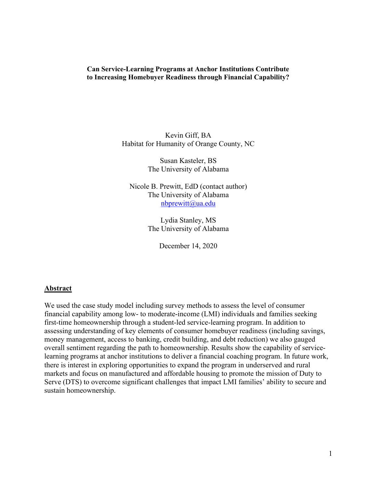# **Can Service-Learning Programs at Anchor Institutions Contribute to Increasing Homebuyer Readiness through Financial Capability?**

Kevin Giff, BA Habitat for Humanity of Orange County, NC

> Susan Kasteler, BS The University of Alabama

Nicole B. Prewitt, EdD (contact author) The University of Alabama [nbprewitt@ua.edu](mailto:nbprewitt@ua.edu)

> Lydia Stanley, MS The University of Alabama

> > December 14, 2020

# **Abstract**

We used the case study model including survey methods to assess the level of consumer financial capability among low- to moderate-income (LMI) individuals and families seeking first-time homeownership through a student-led service-learning program. In addition to assessing understanding of key elements of consumer homebuyer readiness (including savings, money management, access to banking, credit building, and debt reduction) we also gauged overall sentiment regarding the path to homeownership. Results show the capability of servicelearning programs at anchor institutions to deliver a financial coaching program. In future work, there is interest in exploring opportunities to expand the program in underserved and rural markets and focus on manufactured and affordable housing to promote the mission of Duty to Serve (DTS) to overcome significant challenges that impact LMI families' ability to secure and sustain homeownership.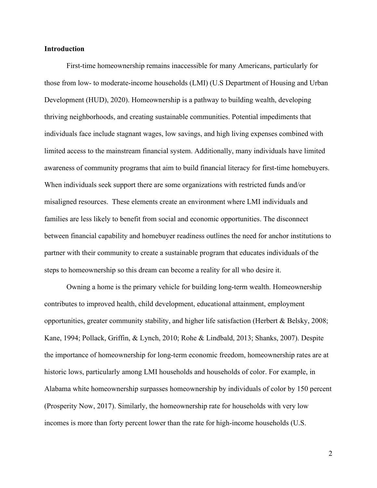# **Introduction**

First-time homeownership remains inaccessible for many Americans, particularly for those from low- to moderate-income households (LMI) (U.S Department of Housing and Urban Development (HUD), 2020). Homeownership is a pathway to building wealth, developing thriving neighborhoods, and creating sustainable communities. Potential impediments that individuals face include stagnant wages, low savings, and high living expenses combined with limited access to the mainstream financial system. Additionally, many individuals have limited awareness of community programs that aim to build financial literacy for first-time homebuyers. When individuals seek support there are some organizations with restricted funds and/or misaligned resources. These elements create an environment where LMI individuals and families are less likely to benefit from social and economic opportunities. The disconnect between financial capability and homebuyer readiness outlines the need for anchor institutions to partner with their community to create a sustainable program that educates individuals of the steps to homeownership so this dream can become a reality for all who desire it.

Owning a home is the primary vehicle for building long-term wealth. Homeownership contributes to improved health, child development, educational attainment, employment opportunities, greater community stability, and higher life satisfaction (Herbert & Belsky, 2008; Kane, 1994; Pollack, Griffin, & Lynch, 2010; Rohe & Lindbald, 2013; Shanks, 2007). Despite the importance of homeownership for long-term economic freedom, homeownership rates are at historic lows, particularly among LMI households and households of color. For example, in Alabama white homeownership surpasses homeownership by individuals of color by 150 percent (Prosperity Now, 2017). Similarly, the homeownership rate for households with very low incomes is more than forty percent lower than the rate for high-income households (U.S.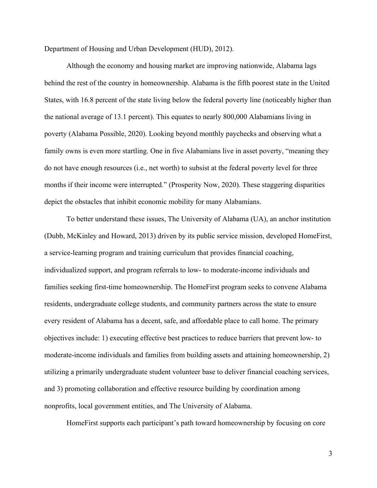Department of Housing and Urban Development (HUD), 2012).

Although the economy and housing market are improving nationwide, Alabama lags behind the rest of the country in homeownership. Alabama is the fifth poorest state in the United States, with 16.8 percent of the state living below the federal poverty line (noticeably higher than the national average of 13.1 percent). This equates to nearly 800,000 Alabamians living in poverty (Alabama Possible, 2020). Looking beyond monthly paychecks and observing what a family owns is even more startling. One in five Alabamians live in asset poverty, "meaning they do not have enough resources (i.e., net worth) to subsist at the federal poverty level for three months if their income were interrupted." (Prosperity Now, 2020). These staggering disparities depict the obstacles that inhibit economic mobility for many Alabamians.

To better understand these issues, The University of Alabama (UA), an anchor institution (Dubb, McKinley and Howard, 2013) driven by its public service mission, developed HomeFirst, a service-learning program and training curriculum that provides financial coaching, individualized support, and program referrals to low- to moderate-income individuals and families seeking first-time homeownership. The HomeFirst program seeks to convene Alabama residents, undergraduate college students, and community partners across the state to ensure every resident of Alabama has a decent, safe, and affordable place to call home. The primary objectives include: 1) executing effective best practices to reduce barriers that prevent low- to moderate-income individuals and families from building assets and attaining homeownership, 2) utilizing a primarily undergraduate student volunteer base to deliver financial coaching services, and 3) promoting collaboration and effective resource building by coordination among nonprofits, local government entities, and The University of Alabama.

HomeFirst supports each participant's path toward homeownership by focusing on core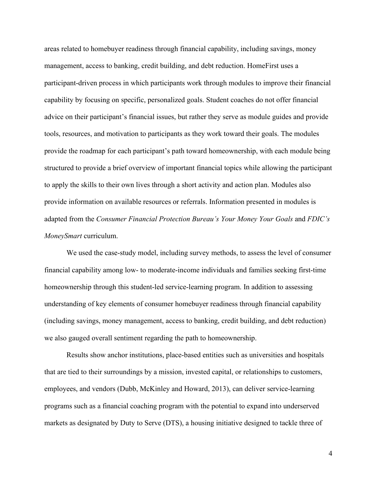areas related to homebuyer readiness through financial capability, including savings, money management, access to banking, credit building, and debt reduction. HomeFirst uses a participant-driven process in which participants work through modules to improve their financial capability by focusing on specific, personalized goals. Student coaches do not offer financial advice on their participant's financial issues, but rather they serve as module guides and provide tools, resources, and motivation to participants as they work toward their goals. The modules provide the roadmap for each participant's path toward homeownership, with each module being structured to provide a brief overview of important financial topics while allowing the participant to apply the skills to their own lives through a short activity and action plan. Modules also provide information on available resources or referrals. Information presented in modules is adapted from the *Consumer Financial Protection Bureau's Your Money Your Goals* and *FDIC's MoneySmart* curriculum.

We used the case-study model, including survey methods, to assess the level of consumer financial capability among low- to moderate-income individuals and families seeking first-time homeownership through this student-led service-learning program. In addition to assessing understanding of key elements of consumer homebuyer readiness through financial capability (including savings, money management, access to banking, credit building, and debt reduction) we also gauged overall sentiment regarding the path to homeownership.

Results show anchor institutions, place-based entities such as universities and hospitals that are tied to their surroundings by a mission, invested capital, or relationships to customers, employees, and vendors (Dubb, McKinley and Howard, 2013), can deliver service-learning programs such as a financial coaching program with the potential to expand into underserved markets as designated by Duty to Serve (DTS), a housing initiative designed to tackle three of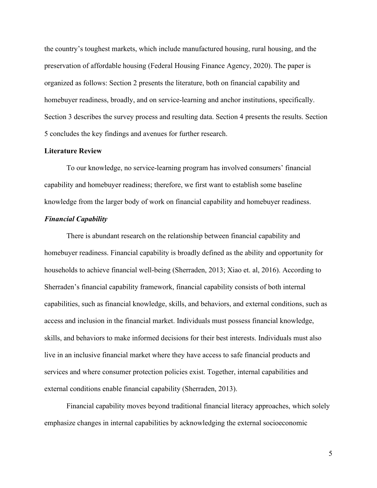the country's toughest markets, which include manufactured housing, rural housing, and the preservation of affordable housing (Federal Housing Finance Agency, 2020). The paper is organized as follows: Section 2 presents the literature, both on financial capability and homebuyer readiness, broadly, and on service-learning and anchor institutions, specifically. Section 3 describes the survey process and resulting data. Section 4 presents the results. Section 5 concludes the key findings and avenues for further research.

# **Literature Review**

To our knowledge, no service-learning program has involved consumers' financial capability and homebuyer readiness; therefore, we first want to establish some baseline knowledge from the larger body of work on financial capability and homebuyer readiness.

# *Financial Capability*

There is abundant research on the relationship between financial capability and homebuyer readiness. Financial capability is broadly defined as the ability and opportunity for households to achieve financial well-being (Sherraden, 2013; Xiao et. al, 2016). According to Sherraden's financial capability framework, financial capability consists of both internal capabilities, such as financial knowledge, skills, and behaviors, and external conditions, such as access and inclusion in the financial market. Individuals must possess financial knowledge, skills, and behaviors to make informed decisions for their best interests. Individuals must also live in an inclusive financial market where they have access to safe financial products and services and where consumer protection policies exist. Together, internal capabilities and external conditions enable financial capability (Sherraden, 2013).

Financial capability moves beyond traditional financial literacy approaches, which solely emphasize changes in internal capabilities by acknowledging the external socioeconomic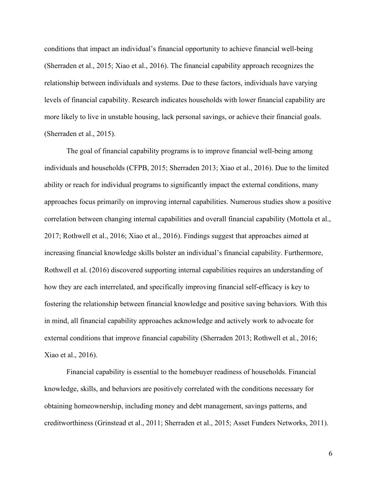conditions that impact an individual's financial opportunity to achieve financial well-being (Sherraden et al., 2015; Xiao et al., 2016). The financial capability approach recognizes the relationship between individuals and systems. Due to these factors, individuals have varying levels of financial capability. Research indicates households with lower financial capability are more likely to live in unstable housing, lack personal savings, or achieve their financial goals. (Sherraden et al., 2015).

The goal of financial capability programs is to improve financial well-being among individuals and households (CFPB, 2015; Sherraden 2013; Xiao et al., 2016). Due to the limited ability or reach for individual programs to significantly impact the external conditions, many approaches focus primarily on improving internal capabilities. Numerous studies show a positive correlation between changing internal capabilities and overall financial capability (Mottola et al., 2017; Rothwell et al., 2016; Xiao et al., 2016). Findings suggest that approaches aimed at increasing financial knowledge skills bolster an individual's financial capability. Furthermore, Rothwell et al. (2016) discovered supporting internal capabilities requires an understanding of how they are each interrelated, and specifically improving financial self-efficacy is key to fostering the relationship between financial knowledge and positive saving behaviors. With this in mind, all financial capability approaches acknowledge and actively work to advocate for external conditions that improve financial capability (Sherraden 2013; Rothwell et al., 2016; Xiao et al., 2016).

Financial capability is essential to the homebuyer readiness of households. Financial knowledge, skills, and behaviors are positively correlated with the conditions necessary for obtaining homeownership, including money and debt management, savings patterns, and creditworthiness (Grinstead et al., 2011; Sherraden et al., 2015; Asset Funders Networks, 2011).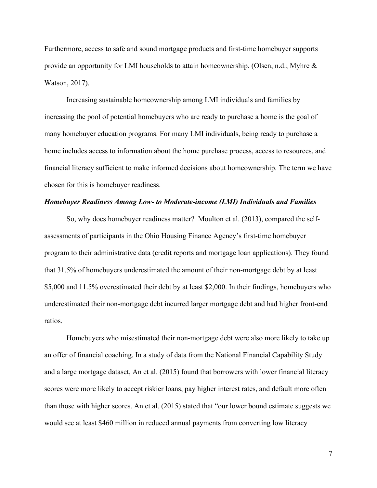Furthermore, access to safe and sound mortgage products and first-time homebuyer supports provide an opportunity for LMI households to attain homeownership. (Olsen, n.d.; Myhre & Watson, 2017).

Increasing sustainable homeownership among LMI individuals and families by increasing the pool of potential homebuyers who are ready to purchase a home is the goal of many homebuyer education programs. For many LMI individuals, being ready to purchase a home includes access to information about the home purchase process, access to resources, and financial literacy sufficient to make informed decisions about homeownership. The term we have chosen for this is homebuyer readiness.

#### *Homebuyer Readiness Among Low- to Moderate-income (LMI) Individuals and Families*

So, why does homebuyer readiness matter? Moulton et al. (2013), compared the selfassessments of participants in the Ohio Housing Finance Agency's first-time homebuyer program to their administrative data (credit reports and mortgage loan applications). They found that 31.5% of homebuyers underestimated the amount of their non-mortgage debt by at least \$5,000 and 11.5% overestimated their debt by at least \$2,000. In their findings, homebuyers who underestimated their non-mortgage debt incurred larger mortgage debt and had higher front-end ratios.

Homebuyers who misestimated their non-mortgage debt were also more likely to take up an offer of financial coaching. In a study of data from the National Financial Capability Study and a large mortgage dataset, An et al. (2015) found that borrowers with lower financial literacy scores were more likely to accept riskier loans, pay higher interest rates, and default more often than those with higher scores. An et al. (2015) stated that "our lower bound estimate suggests we would see at least \$460 million in reduced annual payments from converting low literacy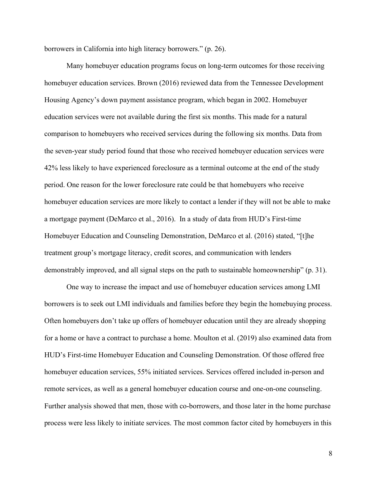borrowers in California into high literacy borrowers." (p. 26).

Many homebuyer education programs focus on long-term outcomes for those receiving homebuyer education services. Brown (2016) reviewed data from the Tennessee Development Housing Agency's down payment assistance program, which began in 2002. Homebuyer education services were not available during the first six months. This made for a natural comparison to homebuyers who received services during the following six months. Data from the seven-year study period found that those who received homebuyer education services were 42% less likely to have experienced foreclosure as a terminal outcome at the end of the study period. One reason for the lower foreclosure rate could be that homebuyers who receive homebuyer education services are more likely to contact a lender if they will not be able to make a mortgage payment (DeMarco et al., 2016). In a study of data from HUD's First-time Homebuyer Education and Counseling Demonstration, DeMarco et al. (2016) stated, "[t]he treatment group's mortgage literacy, credit scores, and communication with lenders demonstrably improved, and all signal steps on the path to sustainable homeownership" (p. 31).

One way to increase the impact and use of homebuyer education services among LMI borrowers is to seek out LMI individuals and families before they begin the homebuying process. Often homebuyers don't take up offers of homebuyer education until they are already shopping for a home or have a contract to purchase a home. Moulton et al. (2019) also examined data from HUD's First-time Homebuyer Education and Counseling Demonstration. Of those offered free homebuyer education services, 55% initiated services. Services offered included in-person and remote services, as well as a general homebuyer education course and one-on-one counseling. Further analysis showed that men, those with co-borrowers, and those later in the home purchase process were less likely to initiate services. The most common factor cited by homebuyers in this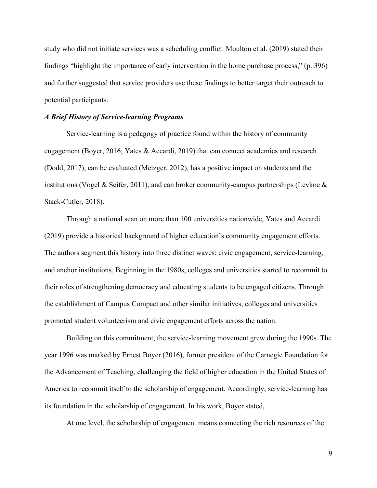study who did not initiate services was a scheduling conflict. Moulton et al. (2019) stated their findings "highlight the importance of early intervention in the home purchase process," (p. 396) and further suggested that service providers use these findings to better target their outreach to potential participants.

# *A Brief History of Service-learning Programs*

Service-learning is a pedagogy of practice found within the history of community engagement (Boyer, 2016; Yates & Accardi, 2019) that can connect academics and research (Dodd, 2017), can be evaluated (Metzger, 2012), has a positive impact on students and the institutions (Vogel & Seifer, 2011), and can broker community-campus partnerships (Levkoe & Stack-Cutler, 2018).

Through a national scan on more than 100 universities nationwide, Yates and Accardi (2019) provide a historical background of higher education's community engagement efforts. The authors segment this history into three distinct waves: civic engagement, service-learning, and anchor institutions. Beginning in the 1980s, colleges and universities started to recommit to their roles of strengthening democracy and educating students to be engaged citizens. Through the establishment of Campus Compact and other similar initiatives, colleges and universities promoted student volunteerism and civic engagement efforts across the nation.

Building on this commitment, the service-learning movement grew during the 1990s. The year 1996 was marked by Ernest Boyer (2016), former president of the Carnegie Foundation for the Advancement of Teaching, challenging the field of higher education in the United States of America to recommit itself to the scholarship of engagement. Accordingly, service-learning has its foundation in the scholarship of engagement. In his work, Boyer stated,

At one level, the scholarship of engagement means connecting the rich resources of the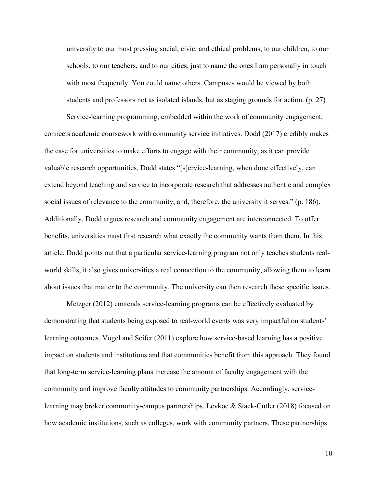university to our most pressing social, civic, and ethical problems, to our children, to our schools, to our teachers, and to our cities, just to name the ones I am personally in touch with most frequently. You could name others. Campuses would be viewed by both students and professors not as isolated islands, but as staging grounds for action. (p. 27)

Service-learning programming, embedded within the work of community engagement, connects academic coursework with community service initiatives. Dodd (2017) credibly makes the case for universities to make efforts to engage with their community, as it can provide valuable research opportunities. Dodd states "[s]ervice-learning, when done effectively, can extend beyond teaching and service to incorporate research that addresses authentic and complex social issues of relevance to the community, and, therefore, the university it serves." (p. 186). Additionally, Dodd argues research and community engagement are interconnected. To offer benefits, universities must first research what exactly the community wants from them. In this article, Dodd points out that a particular service-learning program not only teaches students realworld skills, it also gives universities a real connection to the community, allowing them to learn about issues that matter to the community. The university can then research these specific issues.

Metzger (2012) contends service-learning programs can be effectively evaluated by demonstrating that students being exposed to real-world events was very impactful on students' learning outcomes. Vogel and Seifer (2011) explore how service-based learning has a positive impact on students and institutions and that communities benefit from this approach. They found that long-term service-learning plans increase the amount of faculty engagement with the community and improve faculty attitudes to community partnerships. Accordingly, servicelearning may broker community-campus partnerships. Levkoe & Stack-Cutler (2018) focused on how academic institutions, such as colleges, work with community partners. These partnerships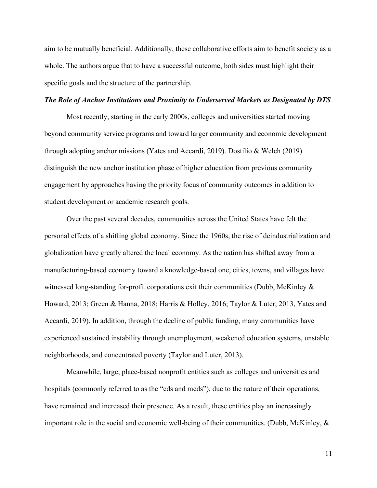aim to be mutually beneficial. Additionally, these collaborative efforts aim to benefit society as a whole. The authors argue that to have a successful outcome, both sides must highlight their specific goals and the structure of the partnership.

# *The Role of Anchor Institutions and Proximity to Underserved Markets as Designated by DTS*

Most recently, starting in the early 2000s, colleges and universities started moving beyond community service programs and toward larger community and economic development through adopting anchor missions (Yates and Accardi, 2019). Dostilio & Welch (2019) distinguish the new anchor institution phase of higher education from previous community engagement by approaches having the priority focus of community outcomes in addition to student development or academic research goals.

Over the past several decades, communities across the United States have felt the personal effects of a shifting global economy. Since the 1960s, the rise of deindustrialization and globalization have greatly altered the local economy. As the nation has shifted away from a manufacturing-based economy toward a knowledge-based one, cities, towns, and villages have witnessed long-standing for-profit corporations exit their communities (Dubb, McKinley & Howard, 2013; Green & Hanna, 2018; Harris & Holley, 2016; Taylor & Luter, 2013, Yates and Accardi, 2019). In addition, through the decline of public funding, many communities have experienced sustained instability through unemployment, weakened education systems, unstable neighborhoods, and concentrated poverty (Taylor and Luter, 2013).

Meanwhile, large, place-based nonprofit entities such as colleges and universities and hospitals (commonly referred to as the "eds and meds"), due to the nature of their operations, have remained and increased their presence. As a result, these entities play an increasingly important role in the social and economic well-being of their communities. (Dubb, McKinley, &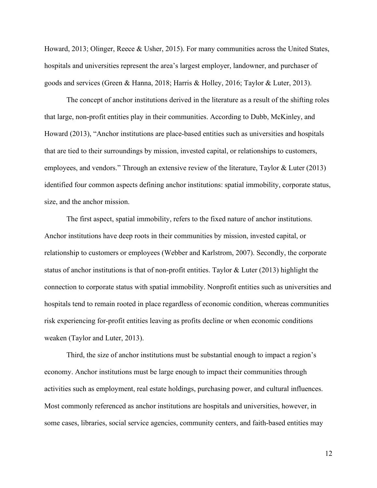Howard, 2013; Olinger, Reece & Usher, 2015). For many communities across the United States, hospitals and universities represent the area's largest employer, landowner, and purchaser of goods and services (Green & Hanna, 2018; Harris & Holley, 2016; Taylor & Luter, 2013).

The concept of anchor institutions derived in the literature as a result of the shifting roles that large, non-profit entities play in their communities. According to Dubb, McKinley, and Howard (2013), "Anchor institutions are place-based entities such as universities and hospitals that are tied to their surroundings by mission, invested capital, or relationships to customers, employees, and vendors." Through an extensive review of the literature, Taylor & Luter (2013) identified four common aspects defining anchor institutions: spatial immobility, corporate status, size, and the anchor mission.

The first aspect, spatial immobility, refers to the fixed nature of anchor institutions. Anchor institutions have deep roots in their communities by mission, invested capital, or relationship to customers or employees (Webber and Karlstrom, 2007). Secondly, the corporate status of anchor institutions is that of non-profit entities. Taylor & Luter (2013) highlight the connection to corporate status with spatial immobility. Nonprofit entities such as universities and hospitals tend to remain rooted in place regardless of economic condition, whereas communities risk experiencing for-profit entities leaving as profits decline or when economic conditions weaken (Taylor and Luter, 2013).

Third, the size of anchor institutions must be substantial enough to impact a region's economy. Anchor institutions must be large enough to impact their communities through activities such as employment, real estate holdings, purchasing power, and cultural influences. Most commonly referenced as anchor institutions are hospitals and universities, however, in some cases, libraries, social service agencies, community centers, and faith-based entities may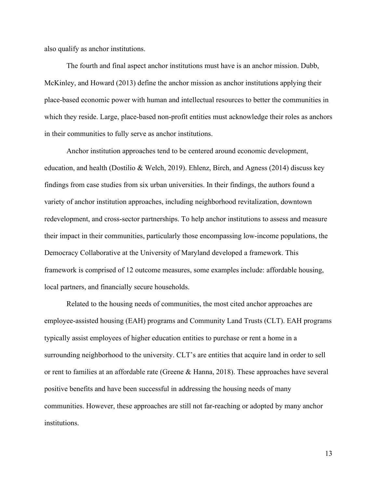also qualify as anchor institutions.

The fourth and final aspect anchor institutions must have is an anchor mission. Dubb, McKinley, and Howard (2013) define the anchor mission as anchor institutions applying their place-based economic power with human and intellectual resources to better the communities in which they reside. Large, place-based non-profit entities must acknowledge their roles as anchors in their communities to fully serve as anchor institutions.

Anchor institution approaches tend to be centered around economic development, education, and health (Dostilio & Welch, 2019). Ehlenz, Birch, and Agness (2014) discuss key findings from case studies from six urban universities. In their findings, the authors found a variety of anchor institution approaches, including neighborhood revitalization, downtown redevelopment, and cross-sector partnerships. To help anchor institutions to assess and measure their impact in their communities, particularly those encompassing low-income populations, the Democracy Collaborative at the University of Maryland developed a framework. This framework is comprised of 12 outcome measures, some examples include: affordable housing, local partners, and financially secure households.

Related to the housing needs of communities, the most cited anchor approaches are employee-assisted housing (EAH) programs and Community Land Trusts (CLT). EAH programs typically assist employees of higher education entities to purchase or rent a home in a surrounding neighborhood to the university. CLT's are entities that acquire land in order to sell or rent to families at an affordable rate (Greene & Hanna, 2018). These approaches have several positive benefits and have been successful in addressing the housing needs of many communities. However, these approaches are still not far-reaching or adopted by many anchor institutions.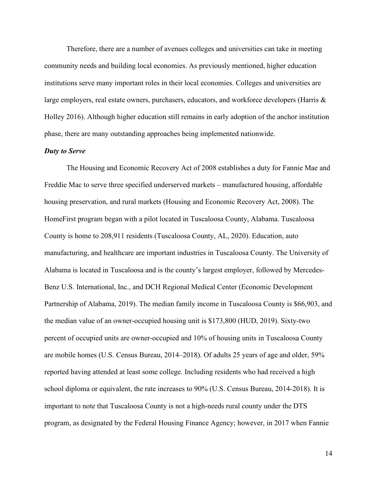Therefore, there are a number of avenues colleges and universities can take in meeting community needs and building local economies. As previously mentioned, higher education institutions serve many important roles in their local economies. Colleges and universities are large employers, real estate owners, purchasers, educators, and workforce developers (Harris & Holley 2016). Although higher education still remains in early adoption of the anchor institution phase, there are many outstanding approaches being implemented nationwide.

## *Duty to Serve*

The Housing and Economic Recovery Act of 2008 establishes a duty for Fannie Mae and Freddie Mac to serve three specified underserved markets – manufactured housing, affordable housing preservation, and rural markets (Housing and Economic Recovery Act, 2008). The HomeFirst program began with a pilot located in Tuscaloosa County, Alabama. Tuscaloosa County is home to 208,911 residents (Tuscaloosa County, AL, 2020). Education, auto manufacturing, and healthcare are important industries in Tuscaloosa County. The University of Alabama is located in Tuscaloosa and is the county's largest employer, followed by Mercedes-Benz U.S. International, Inc., and DCH Regional Medical Center (Economic Development Partnership of Alabama, 2019). The median family income in Tuscaloosa County is \$66,903, and the median value of an owner-occupied housing unit is \$173,800 (HUD, 2019). Sixty-two percent of occupied units are owner-occupied and 10% of housing units in Tuscaloosa County are mobile homes (U.S. Census Bureau, 2014–2018). Of adults 25 years of age and older, 59% reported having attended at least some college. Including residents who had received a high school diploma or equivalent, the rate increases to 90% (U.S. Census Bureau, 2014-2018). It is important to note that Tuscaloosa County is not a high-needs rural county under the DTS program, as designated by the Federal Housing Finance Agency; however, in 2017 when Fannie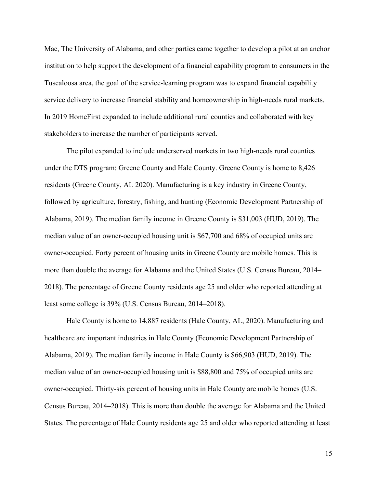Mae, The University of Alabama, and other parties came together to develop a pilot at an anchor institution to help support the development of a financial capability program to consumers in the Tuscaloosa area, the goal of the service-learning program was to expand financial capability service delivery to increase financial stability and homeownership in high-needs rural markets. In 2019 HomeFirst expanded to include additional rural counties and collaborated with key stakeholders to increase the number of participants served.

The pilot expanded to include underserved markets in two high-needs rural counties under the DTS program: Greene County and Hale County. Greene County is home to 8,426 residents (Greene County, AL 2020). Manufacturing is a key industry in Greene County, followed by agriculture, forestry, fishing, and hunting (Economic Development Partnership of Alabama, 2019). The median family income in Greene County is \$31,003 (HUD, 2019). The median value of an owner-occupied housing unit is \$67,700 and 68% of occupied units are owner-occupied. Forty percent of housing units in Greene County are mobile homes. This is more than double the average for Alabama and the United States (U.S. Census Bureau, 2014– 2018). The percentage of Greene County residents age 25 and older who reported attending at least some college is 39% (U.S. Census Bureau, 2014–2018).

Hale County is home to 14,887 residents (Hale County, AL, 2020). Manufacturing and healthcare are important industries in Hale County (Economic Development Partnership of Alabama, 2019). The median family income in Hale County is \$66,903 (HUD, 2019). The median value of an owner-occupied housing unit is \$88,800 and 75% of occupied units are owner-occupied. Thirty-six percent of housing units in Hale County are mobile homes (U.S. Census Bureau, 2014–2018). This is more than double the average for Alabama and the United States. The percentage of Hale County residents age 25 and older who reported attending at least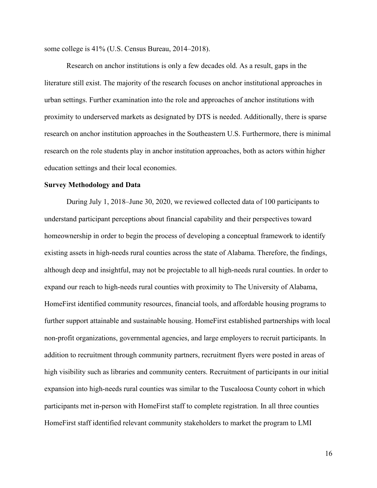some college is 41% (U.S. Census Bureau, 2014–2018).

Research on anchor institutions is only a few decades old. As a result, gaps in the literature still exist. The majority of the research focuses on anchor institutional approaches in urban settings. Further examination into the role and approaches of anchor institutions with proximity to underserved markets as designated by DTS is needed. Additionally, there is sparse research on anchor institution approaches in the Southeastern U.S. Furthermore, there is minimal research on the role students play in anchor institution approaches, both as actors within higher education settings and their local economies.

## **Survey Methodology and Data**

During July 1, 2018–June 30, 2020, we reviewed collected data of 100 participants to understand participant perceptions about financial capability and their perspectives toward homeownership in order to begin the process of developing a conceptual framework to identify existing assets in high-needs rural counties across the state of Alabama. Therefore, the findings, although deep and insightful, may not be projectable to all high-needs rural counties. In order to expand our reach to high-needs rural counties with proximity to The University of Alabama, HomeFirst identified community resources, financial tools, and affordable housing programs to further support attainable and sustainable housing. HomeFirst established partnerships with local non-profit organizations, governmental agencies, and large employers to recruit participants. In addition to recruitment through community partners, recruitment flyers were posted in areas of high visibility such as libraries and community centers. Recruitment of participants in our initial expansion into high-needs rural counties was similar to the Tuscaloosa County cohort in which participants met in-person with HomeFirst staff to complete registration. In all three counties HomeFirst staff identified relevant community stakeholders to market the program to LMI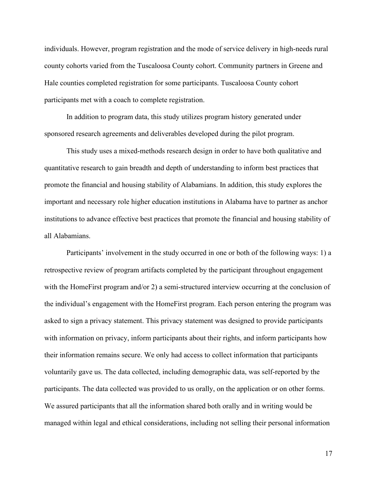individuals. However, program registration and the mode of service delivery in high-needs rural county cohorts varied from the Tuscaloosa County cohort. Community partners in Greene and Hale counties completed registration for some participants. Tuscaloosa County cohort participants met with a coach to complete registration.

In addition to program data, this study utilizes program history generated under sponsored research agreements and deliverables developed during the pilot program.

This study uses a mixed-methods research design in order to have both qualitative and quantitative research to gain breadth and depth of understanding to inform best practices that promote the financial and housing stability of Alabamians. In addition, this study explores the important and necessary role higher education institutions in Alabama have to partner as anchor institutions to advance effective best practices that promote the financial and housing stability of all Alabamians.

Participants' involvement in the study occurred in one or both of the following ways: 1) a retrospective review of program artifacts completed by the participant throughout engagement with the HomeFirst program and/or 2) a semi-structured interview occurring at the conclusion of the individual's engagement with the HomeFirst program. Each person entering the program was asked to sign a privacy statement. This privacy statement was designed to provide participants with information on privacy, inform participants about their rights, and inform participants how their information remains secure. We only had access to collect information that participants voluntarily gave us. The data collected, including demographic data, was self-reported by the participants. The data collected was provided to us orally, on the application or on other forms. We assured participants that all the information shared both orally and in writing would be managed within legal and ethical considerations, including not selling their personal information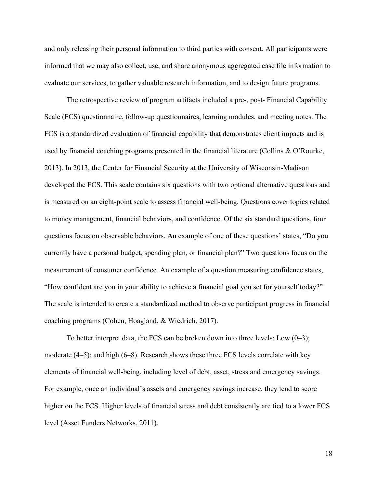and only releasing their personal information to third parties with consent. All participants were informed that we may also collect, use, and share anonymous aggregated case file information to evaluate our services, to gather valuable research information, and to design future programs.

The retrospective review of program artifacts included a pre-, post- Financial Capability Scale (FCS) questionnaire, follow-up questionnaires, learning modules, and meeting notes. The FCS is a standardized evaluation of financial capability that demonstrates client impacts and is used by financial coaching programs presented in the financial literature (Collins & O'Rourke, 2013). In 2013, the Center for Financial Security at the University of Wisconsin-Madison developed the FCS. This scale contains six questions with two optional alternative questions and is measured on an eight-point scale to assess financial well-being. Questions cover topics related to money management, financial behaviors, and confidence. Of the six standard questions, four questions focus on observable behaviors. An example of one of these questions' states, "Do you currently have a personal budget, spending plan, or financial plan?" Two questions focus on the measurement of consumer confidence. An example of a question measuring confidence states, "How confident are you in your ability to achieve a financial goal you set for yourself today?" The scale is intended to create a standardized method to observe participant progress in financial coaching programs (Cohen, Hoagland, & Wiedrich, 2017).

To better interpret data, the FCS can be broken down into three levels: Low (0–3); moderate (4–5); and high (6–8). Research shows these three FCS levels correlate with key elements of financial well-being, including level of debt, asset, stress and emergency savings. For example, once an individual's assets and emergency savings increase, they tend to score higher on the FCS. Higher levels of financial stress and debt consistently are tied to a lower FCS level (Asset Funders Networks, 2011).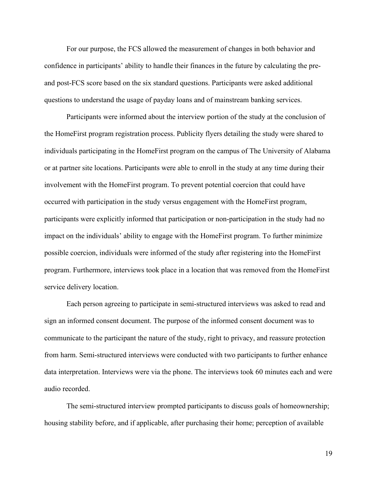For our purpose, the FCS allowed the measurement of changes in both behavior and confidence in participants' ability to handle their finances in the future by calculating the preand post-FCS score based on the six standard questions. Participants were asked additional questions to understand the usage of payday loans and of mainstream banking services.

Participants were informed about the interview portion of the study at the conclusion of the HomeFirst program registration process. Publicity flyers detailing the study were shared to individuals participating in the HomeFirst program on the campus of The University of Alabama or at partner site locations. Participants were able to enroll in the study at any time during their involvement with the HomeFirst program. To prevent potential coercion that could have occurred with participation in the study versus engagement with the HomeFirst program, participants were explicitly informed that participation or non-participation in the study had no impact on the individuals' ability to engage with the HomeFirst program. To further minimize possible coercion, individuals were informed of the study after registering into the HomeFirst program. Furthermore, interviews took place in a location that was removed from the HomeFirst service delivery location.

Each person agreeing to participate in semi-structured interviews was asked to read and sign an informed consent document. The purpose of the informed consent document was to communicate to the participant the nature of the study, right to privacy, and reassure protection from harm. Semi-structured interviews were conducted with two participants to further enhance data interpretation. Interviews were via the phone. The interviews took 60 minutes each and were audio recorded.

The semi-structured interview prompted participants to discuss goals of homeownership; housing stability before, and if applicable, after purchasing their home; perception of available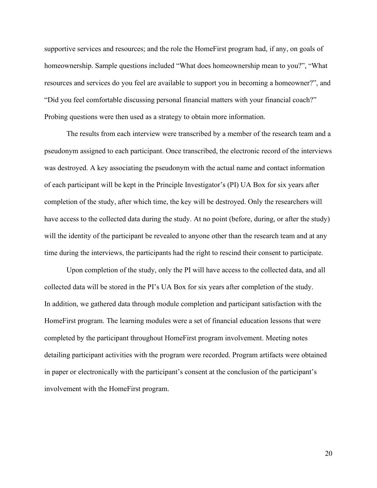supportive services and resources; and the role the HomeFirst program had, if any, on goals of homeownership. Sample questions included "What does homeownership mean to you?", "What resources and services do you feel are available to support you in becoming a homeowner?", and "Did you feel comfortable discussing personal financial matters with your financial coach?" Probing questions were then used as a strategy to obtain more information.

The results from each interview were transcribed by a member of the research team and a pseudonym assigned to each participant. Once transcribed, the electronic record of the interviews was destroyed. A key associating the pseudonym with the actual name and contact information of each participant will be kept in the Principle Investigator's (PI) UA Box for six years after completion of the study, after which time, the key will be destroyed. Only the researchers will have access to the collected data during the study. At no point (before, during, or after the study) will the identity of the participant be revealed to anyone other than the research team and at any time during the interviews, the participants had the right to rescind their consent to participate.

Upon completion of the study, only the PI will have access to the collected data, and all collected data will be stored in the PI's UA Box for six years after completion of the study. In addition, we gathered data through module completion and participant satisfaction with the HomeFirst program. The learning modules were a set of financial education lessons that were completed by the participant throughout HomeFirst program involvement. Meeting notes detailing participant activities with the program were recorded. Program artifacts were obtained in paper or electronically with the participant's consent at the conclusion of the participant's involvement with the HomeFirst program.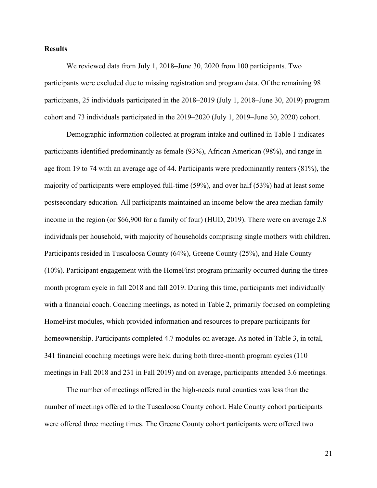# **Results**

We reviewed data from July 1, 2018–June 30, 2020 from 100 participants. Two participants were excluded due to missing registration and program data. Of the remaining 98 participants, 25 individuals participated in the 2018–2019 (July 1, 2018–June 30, 2019) program cohort and 73 individuals participated in the 2019–2020 (July 1, 2019–June 30, 2020) cohort.

Demographic information collected at program intake and outlined in Table 1 indicates participants identified predominantly as female (93%), African American (98%), and range in age from 19 to 74 with an average age of 44. Participants were predominantly renters (81%), the majority of participants were employed full-time (59%), and over half (53%) had at least some postsecondary education. All participants maintained an income below the area median family income in the region (or \$66,900 for a family of four) (HUD, 2019). There were on average 2.8 individuals per household, with majority of households comprising single mothers with children. Participants resided in Tuscaloosa County (64%), Greene County (25%), and Hale County (10%). Participant engagement with the HomeFirst program primarily occurred during the threemonth program cycle in fall 2018 and fall 2019. During this time, participants met individually with a financial coach. Coaching meetings, as noted in Table 2, primarily focused on completing HomeFirst modules, which provided information and resources to prepare participants for homeownership. Participants completed 4.7 modules on average. As noted in Table 3, in total, 341 financial coaching meetings were held during both three-month program cycles (110 meetings in Fall 2018 and 231 in Fall 2019) and on average, participants attended 3.6 meetings.

The number of meetings offered in the high-needs rural counties was less than the number of meetings offered to the Tuscaloosa County cohort. Hale County cohort participants were offered three meeting times. The Greene County cohort participants were offered two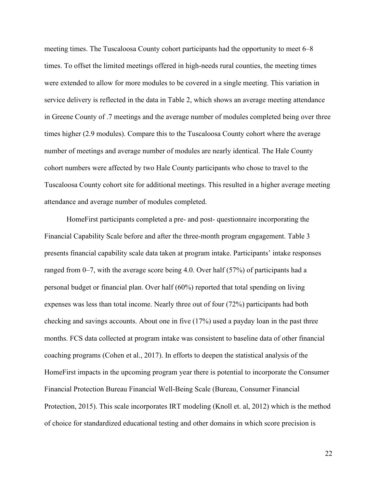meeting times. The Tuscaloosa County cohort participants had the opportunity to meet 6–8 times. To offset the limited meetings offered in high-needs rural counties, the meeting times were extended to allow for more modules to be covered in a single meeting. This variation in service delivery is reflected in the data in Table 2, which shows an average meeting attendance in Greene County of .7 meetings and the average number of modules completed being over three times higher (2.9 modules). Compare this to the Tuscaloosa County cohort where the average number of meetings and average number of modules are nearly identical. The Hale County cohort numbers were affected by two Hale County participants who chose to travel to the Tuscaloosa County cohort site for additional meetings. This resulted in a higher average meeting attendance and average number of modules completed.

HomeFirst participants completed a pre- and post- questionnaire incorporating the Financial Capability Scale before and after the three-month program engagement. Table 3 presents financial capability scale data taken at program intake. Participants' intake responses ranged from 0–7, with the average score being 4.0. Over half (57%) of participants had a personal budget or financial plan. Over half (60%) reported that total spending on living expenses was less than total income. Nearly three out of four (72%) participants had both checking and savings accounts. About one in five (17%) used a payday loan in the past three months. FCS data collected at program intake was consistent to baseline data of other financial coaching programs (Cohen et al., 2017). In efforts to deepen the statistical analysis of the HomeFirst impacts in the upcoming program year there is potential to incorporate the Consumer Financial Protection Bureau Financial Well-Being Scale (Bureau, Consumer Financial Protection, 2015). This scale incorporates IRT modeling (Knoll et. al, 2012) which is the method of choice for standardized educational testing and other domains in which score precision is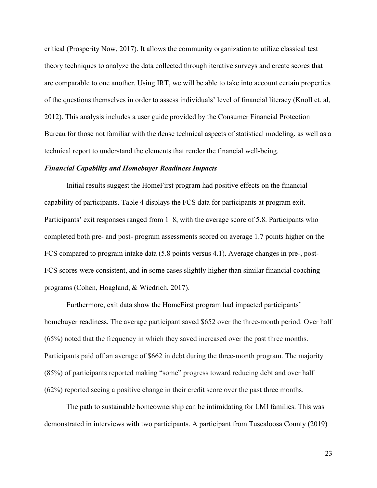critical (Prosperity Now, 2017). It allows the community organization to utilize classical test theory techniques to analyze the data collected through iterative surveys and create scores that are comparable to one another. Using IRT, we will be able to take into account certain properties of the questions themselves in order to assess individuals' level of financial literacy (Knoll et. al, 2012). This analysis includes a user guide provided by the Consumer Financial Protection Bureau for those not familiar with the dense technical aspects of statistical modeling, as well as a technical report to understand the elements that render the financial well-being.

# *Financial Capability and Homebuyer Readiness Impacts*

Initial results suggest the HomeFirst program had positive effects on the financial capability of participants. Table 4 displays the FCS data for participants at program exit. Participants' exit responses ranged from 1–8, with the average score of 5.8. Participants who completed both pre- and post- program assessments scored on average 1.7 points higher on the FCS compared to program intake data (5.8 points versus 4.1). Average changes in pre-, post-FCS scores were consistent, and in some cases slightly higher than similar financial coaching programs (Cohen, Hoagland, & Wiedrich, 2017).

Furthermore, exit data show the HomeFirst program had impacted participants' homebuyer readiness. The average participant saved \$652 over the three-month period. Over half (65%) noted that the frequency in which they saved increased over the past three months. Participants paid off an average of \$662 in debt during the three-month program. The majority (85%) of participants reported making "some" progress toward reducing debt and over half (62%) reported seeing a positive change in their credit score over the past three months.

The path to sustainable homeownership can be intimidating for LMI families. This was demonstrated in interviews with two participants. A participant from Tuscaloosa County (2019)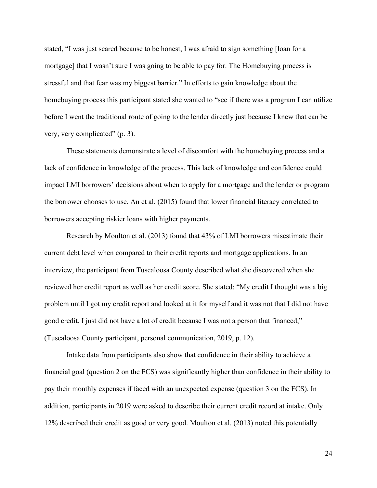stated, "I was just scared because to be honest, I was afraid to sign something [loan for a mortgage] that I wasn't sure I was going to be able to pay for. The Homebuying process is stressful and that fear was my biggest barrier." In efforts to gain knowledge about the homebuying process this participant stated she wanted to "see if there was a program I can utilize before I went the traditional route of going to the lender directly just because I knew that can be very, very complicated" (p. 3).

These statements demonstrate a level of discomfort with the homebuying process and a lack of confidence in knowledge of the process. This lack of knowledge and confidence could impact LMI borrowers' decisions about when to apply for a mortgage and the lender or program the borrower chooses to use. An et al. (2015) found that lower financial literacy correlated to borrowers accepting riskier loans with higher payments.

Research by Moulton et al. (2013) found that 43% of LMI borrowers misestimate their current debt level when compared to their credit reports and mortgage applications. In an interview, the participant from Tuscaloosa County described what she discovered when she reviewed her credit report as well as her credit score. She stated: "My credit I thought was a big problem until I got my credit report and looked at it for myself and it was not that I did not have good credit, I just did not have a lot of credit because I was not a person that financed," (Tuscaloosa County participant, personal communication, 2019, p. 12).

Intake data from participants also show that confidence in their ability to achieve a financial goal (question 2 on the FCS) was significantly higher than confidence in their ability to pay their monthly expenses if faced with an unexpected expense (question 3 on the FCS). In addition, participants in 2019 were asked to describe their current credit record at intake. Only 12% described their credit as good or very good. Moulton et al. (2013) noted this potentially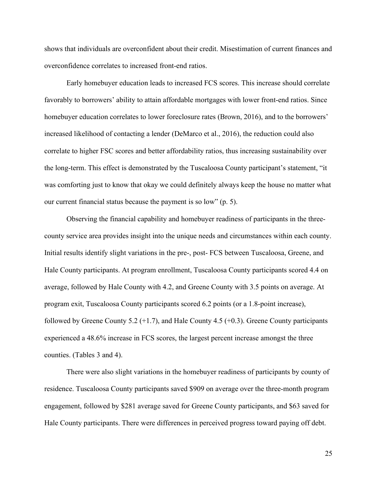shows that individuals are overconfident about their credit. Misestimation of current finances and overconfidence correlates to increased front-end ratios.

Early homebuyer education leads to increased FCS scores. This increase should correlate favorably to borrowers' ability to attain affordable mortgages with lower front-end ratios. Since homebuyer education correlates to lower foreclosure rates (Brown, 2016), and to the borrowers' increased likelihood of contacting a lender (DeMarco et al., 2016), the reduction could also correlate to higher FSC scores and better affordability ratios, thus increasing sustainability over the long-term. This effect is demonstrated by the Tuscaloosa County participant's statement, "it was comforting just to know that okay we could definitely always keep the house no matter what our current financial status because the payment is so low" (p. 5).

Observing the financial capability and homebuyer readiness of participants in the threecounty service area provides insight into the unique needs and circumstances within each county. Initial results identify slight variations in the pre-, post- FCS between Tuscaloosa, Greene, and Hale County participants. At program enrollment, Tuscaloosa County participants scored 4.4 on average, followed by Hale County with 4.2, and Greene County with 3.5 points on average. At program exit, Tuscaloosa County participants scored 6.2 points (or a 1.8-point increase), followed by Greene County 5.2  $(+1.7)$ , and Hale County 4.5  $(+0.3)$ . Greene County participants experienced a 48.6% increase in FCS scores, the largest percent increase amongst the three counties. (Tables 3 and 4).

There were also slight variations in the homebuyer readiness of participants by county of residence. Tuscaloosa County participants saved \$909 on average over the three-month program engagement, followed by \$281 average saved for Greene County participants, and \$63 saved for Hale County participants. There were differences in perceived progress toward paying off debt.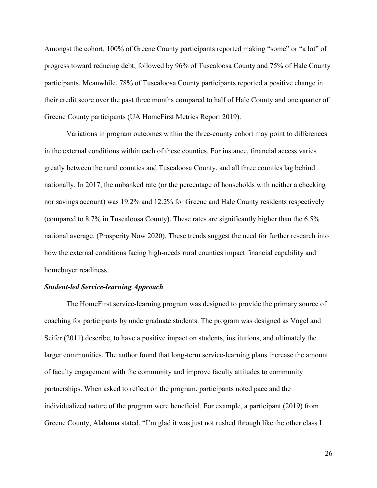Amongst the cohort, 100% of Greene County participants reported making "some" or "a lot" of progress toward reducing debt; followed by 96% of Tuscaloosa County and 75% of Hale County participants. Meanwhile, 78% of Tuscaloosa County participants reported a positive change in their credit score over the past three months compared to half of Hale County and one quarter of Greene County participants (UA HomeFirst Metrics Report 2019).

Variations in program outcomes within the three-county cohort may point to differences in the external conditions within each of these counties. For instance, financial access varies greatly between the rural counties and Tuscaloosa County, and all three counties lag behind nationally. In 2017, the unbanked rate (or the percentage of households with neither a checking nor savings account) was 19.2% and 12.2% for Greene and Hale County residents respectively (compared to 8.7% in Tuscaloosa County). These rates are significantly higher than the 6.5% national average. (Prosperity Now 2020). These trends suggest the need for further research into how the external conditions facing high-needs rural counties impact financial capability and homebuyer readiness.

#### *Student-led Service-learning Approach*

The HomeFirst service-learning program was designed to provide the primary source of coaching for participants by undergraduate students. The program was designed as Vogel and Seifer (2011) describe, to have a positive impact on students, institutions, and ultimately the larger communities. The author found that long-term service-learning plans increase the amount of faculty engagement with the community and improve faculty attitudes to community partnerships. When asked to reflect on the program, participants noted pace and the individualized nature of the program were beneficial. For example, a participant (2019) from Greene County, Alabama stated, "I'm glad it was just not rushed through like the other class I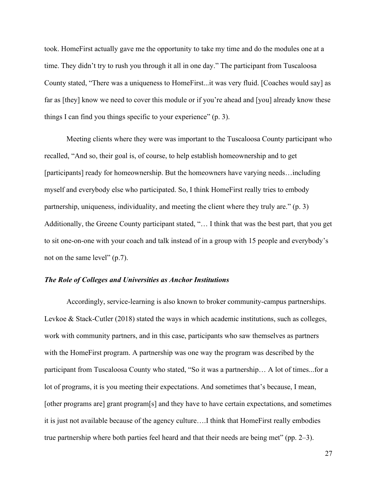took. HomeFirst actually gave me the opportunity to take my time and do the modules one at a time. They didn't try to rush you through it all in one day." The participant from Tuscaloosa County stated, "There was a uniqueness to HomeFirst...it was very fluid. [Coaches would say] as far as [they] know we need to cover this module or if you're ahead and [you] already know these things I can find you things specific to your experience" (p. 3).

Meeting clients where they were was important to the Tuscaloosa County participant who recalled, "And so, their goal is, of course, to help establish homeownership and to get [participants] ready for homeownership. But the homeowners have varying needs...including myself and everybody else who participated. So, I think HomeFirst really tries to embody partnership, uniqueness, individuality, and meeting the client where they truly are." (p. 3) Additionally, the Greene County participant stated, "… I think that was the best part, that you get to sit one-on-one with your coach and talk instead of in a group with 15 people and everybody's not on the same level" (p.7).

## *The Role of Colleges and Universities as Anchor Institutions*

Accordingly, service-learning is also known to broker community-campus partnerships. Levkoe & Stack-Cutler (2018) stated the ways in which academic institutions, such as colleges, work with community partners, and in this case, participants who saw themselves as partners with the HomeFirst program. A partnership was one way the program was described by the participant from Tuscaloosa County who stated, "So it was a partnership… A lot of times...for a lot of programs, it is you meeting their expectations. And sometimes that's because, I mean, [other programs are] grant program[s] and they have to have certain expectations, and sometimes it is just not available because of the agency culture….I think that HomeFirst really embodies true partnership where both parties feel heard and that their needs are being met" (pp. 2–3).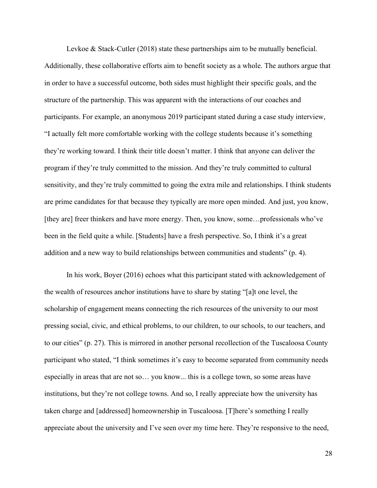Levkoe & Stack-Cutler (2018) state these partnerships aim to be mutually beneficial. Additionally, these collaborative efforts aim to benefit society as a whole. The authors argue that in order to have a successful outcome, both sides must highlight their specific goals, and the structure of the partnership. This was apparent with the interactions of our coaches and participants. For example, an anonymous 2019 participant stated during a case study interview, "I actually felt more comfortable working with the college students because it's something they're working toward. I think their title doesn't matter. I think that anyone can deliver the program if they're truly committed to the mission. And they're truly committed to cultural sensitivity, and they're truly committed to going the extra mile and relationships. I think students are prime candidates for that because they typically are more open minded. And just, you know, [they are] freer thinkers and have more energy. Then, you know, some…professionals who've been in the field quite a while. [Students] have a fresh perspective. So, I think it's a great addition and a new way to build relationships between communities and students" (p. 4).

In his work, Boyer (2016) echoes what this participant stated with acknowledgement of the wealth of resources anchor institutions have to share by stating "[a]t one level, the scholarship of engagement means connecting the rich resources of the university to our most pressing social, civic, and ethical problems, to our children, to our schools, to our teachers, and to our cities" (p. 27). This is mirrored in another personal recollection of the Tuscaloosa County participant who stated, "I think sometimes it's easy to become separated from community needs especially in areas that are not so… you know... this is a college town, so some areas have institutions, but they're not college towns. And so, I really appreciate how the university has taken charge and [addressed] homeownership in Tuscaloosa. [T]here's something I really appreciate about the university and I've seen over my time here. They're responsive to the need,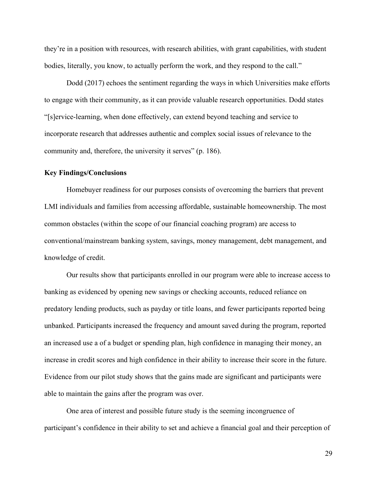they're in a position with resources, with research abilities, with grant capabilities, with student bodies, literally, you know, to actually perform the work, and they respond to the call."

Dodd (2017) echoes the sentiment regarding the ways in which Universities make efforts to engage with their community, as it can provide valuable research opportunities. Dodd states "[s]ervice-learning, when done effectively, can extend beyond teaching and service to incorporate research that addresses authentic and complex social issues of relevance to the community and, therefore, the university it serves" (p. 186).

# **Key Findings/Conclusions**

Homebuyer readiness for our purposes consists of overcoming the barriers that prevent LMI individuals and families from accessing affordable, sustainable homeownership. The most common obstacles (within the scope of our financial coaching program) are access to conventional/mainstream banking system, savings, money management, debt management, and knowledge of credit.

Our results show that participants enrolled in our program were able to increase access to banking as evidenced by opening new savings or checking accounts, reduced reliance on predatory lending products, such as payday or title loans, and fewer participants reported being unbanked. Participants increased the frequency and amount saved during the program, reported an increased use a of a budget or spending plan, high confidence in managing their money, an increase in credit scores and high confidence in their ability to increase their score in the future. Evidence from our pilot study shows that the gains made are significant and participants were able to maintain the gains after the program was over.

One area of interest and possible future study is the seeming incongruence of participant's confidence in their ability to set and achieve a financial goal and their perception of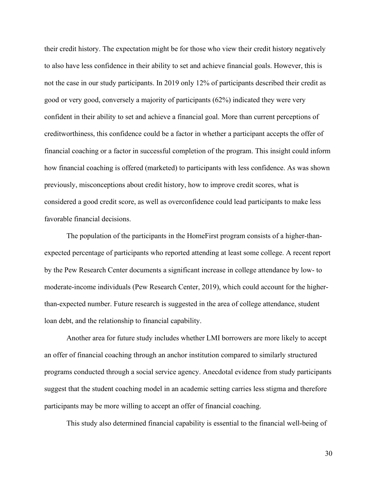their credit history. The expectation might be for those who view their credit history negatively to also have less confidence in their ability to set and achieve financial goals. However, this is not the case in our study participants. In 2019 only 12% of participants described their credit as good or very good, conversely a majority of participants (62%) indicated they were very confident in their ability to set and achieve a financial goal. More than current perceptions of creditworthiness, this confidence could be a factor in whether a participant accepts the offer of financial coaching or a factor in successful completion of the program. This insight could inform how financial coaching is offered (marketed) to participants with less confidence. As was shown previously, misconceptions about credit history, how to improve credit scores, what is considered a good credit score, as well as overconfidence could lead participants to make less favorable financial decisions.

The population of the participants in the HomeFirst program consists of a higher-thanexpected percentage of participants who reported attending at least some college. A recent report by the Pew Research Center documents a significant increase in college attendance by low- to moderate-income individuals (Pew Research Center, 2019), which could account for the higherthan-expected number. Future research is suggested in the area of college attendance, student loan debt, and the relationship to financial capability.

Another area for future study includes whether LMI borrowers are more likely to accept an offer of financial coaching through an anchor institution compared to similarly structured programs conducted through a social service agency. Anecdotal evidence from study participants suggest that the student coaching model in an academic setting carries less stigma and therefore participants may be more willing to accept an offer of financial coaching.

This study also determined financial capability is essential to the financial well-being of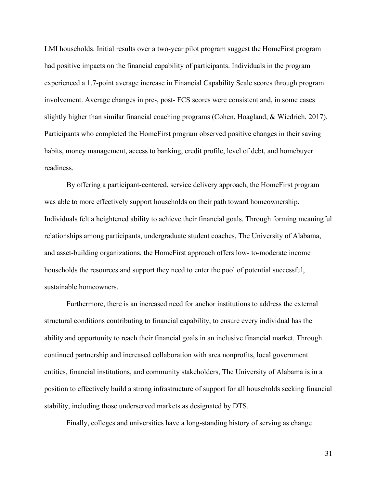LMI households. Initial results over a two-year pilot program suggest the HomeFirst program had positive impacts on the financial capability of participants. Individuals in the program experienced a 1.7-point average increase in Financial Capability Scale scores through program involvement. Average changes in pre-, post- FCS scores were consistent and, in some cases slightly higher than similar financial coaching programs (Cohen, Hoagland, & Wiedrich, 2017). Participants who completed the HomeFirst program observed positive changes in their saving habits, money management, access to banking, credit profile, level of debt, and homebuyer readiness.

By offering a participant-centered, service delivery approach, the HomeFirst program was able to more effectively support households on their path toward homeownership. Individuals felt a heightened ability to achieve their financial goals. Through forming meaningful relationships among participants, undergraduate student coaches, The University of Alabama, and asset-building organizations, the HomeFirst approach offers low- to-moderate income households the resources and support they need to enter the pool of potential successful, sustainable homeowners.

Furthermore, there is an increased need for anchor institutions to address the external structural conditions contributing to financial capability, to ensure every individual has the ability and opportunity to reach their financial goals in an inclusive financial market. Through continued partnership and increased collaboration with area nonprofits, local government entities, financial institutions, and community stakeholders, The University of Alabama is in a position to effectively build a strong infrastructure of support for all households seeking financial stability, including those underserved markets as designated by DTS.

Finally, colleges and universities have a long-standing history of serving as change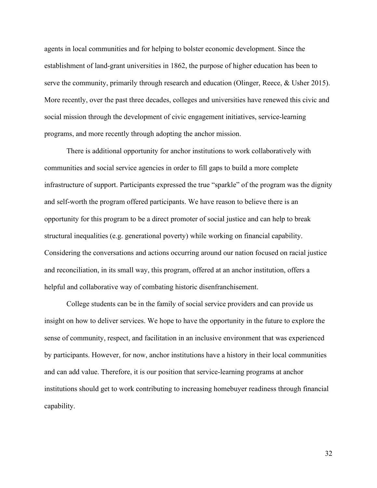agents in local communities and for helping to bolster economic development. Since the establishment of land-grant universities in 1862, the purpose of higher education has been to serve the community, primarily through research and education (Olinger, Reece, & Usher 2015). More recently, over the past three decades, colleges and universities have renewed this civic and social mission through the development of civic engagement initiatives, service-learning programs, and more recently through adopting the anchor mission.

There is additional opportunity for anchor institutions to work collaboratively with communities and social service agencies in order to fill gaps to build a more complete infrastructure of support. Participants expressed the true "sparkle" of the program was the dignity and self-worth the program offered participants. We have reason to believe there is an opportunity for this program to be a direct promoter of social justice and can help to break structural inequalities (e.g. generational poverty) while working on financial capability. Considering the conversations and actions occurring around our nation focused on racial justice and reconciliation, in its small way, this program, offered at an anchor institution, offers a helpful and collaborative way of combating historic disenfranchisement.

College students can be in the family of social service providers and can provide us insight on how to deliver services. We hope to have the opportunity in the future to explore the sense of community, respect, and facilitation in an inclusive environment that was experienced by participants. However, for now, anchor institutions have a history in their local communities and can add value. Therefore, it is our position that service-learning programs at anchor institutions should get to work contributing to increasing homebuyer readiness through financial capability.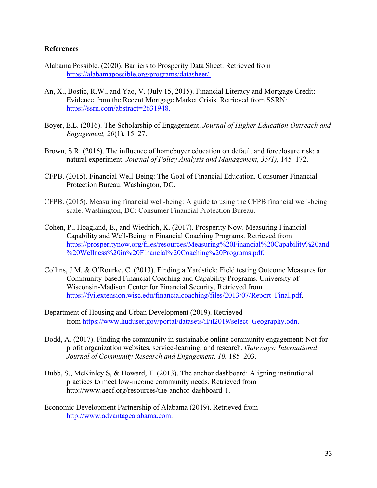# **References**

- Alabama Possible. (2020). Barriers to Prosperity Data Sheet. Retrieved from [https://alabamapossible.org/programs/datasheet/.](https://alabamapossible.org/programs/datasheet/)
- An, X., Bostic, R.W., and Yao, V. (July 15, 2015). Financial Literacy and Mortgage Credit: Evidence from the Recent Mortgage Market Crisis. Retrieved from SSRN: [https://ssrn.com/abstract=2631948.](https://ssrn.com/abstract=2631948)
- Boyer, E.L. (2016). The Scholarship of Engagement. *Journal of Higher Education Outreach and Engagement, 20*(1), 15–27.
- Brown, S.R. (2016). The influence of homebuyer education on default and foreclosure risk: a natural experiment. *Journal of Policy Analysis and Management, 35(1),* 145–172.
- CFPB. (2015). Financial Well-Being: The Goal of Financial Education. Consumer Financial Protection Bureau. Washington, DC.
- CFPB. (2015). Measuring financial well-being: A guide to using the CFPB financial well-being scale. Washington, DC: Consumer Financial Protection Bureau.
- Cohen, P., Hoagland, E., and Wiedrich, K. (2017). Prosperity Now. Measuring Financial Capability and Well-Being in Financial Coaching Programs. Retrieved from [https://prosperitynow.org/files/resources/Measuring%20Financial%20Capability%20and](https://prosperitynow.org/files/resources/Measuring%20Financial%20Capability%20and%20Wellness%20in%20Financial%20Coaching%20Programs.pdf) [%20Wellness%20in%20Financial%20Coaching%20Programs.pdf.](https://prosperitynow.org/files/resources/Measuring%20Financial%20Capability%20and%20Wellness%20in%20Financial%20Coaching%20Programs.pdf)
- Collins, J.M. & O'Rourke, C. (2013). Finding a Yardstick: Field testing Outcome Measures for Community-based Financial Coaching and Capability Programs. University of Wisconsin-Madison Center for Financial Security. Retrieved from [https://fyi.extension.wisc.edu/financialcoaching/files/2013/07/Report\\_Final.pdf.](https://fyi.extension.wisc.edu/financialcoaching/files/2013/07/Report_Final.pdf)
- Department of Housing and Urban Development (2019). Retrieved from [https://www.huduser.gov/portal/datasets/il/il2019/select\\_Geography.odn.](https://www.huduser.gov/portal/datasets/il/il2019/select_Geography.odn)
- Dodd, A. (2017). Finding the community in sustainable online community engagement: Not-forprofit organization websites, service-learning, and research. *Gateways: International Journal of Community Research and Engagement, 10,* 185–203.
- Dubb, S., McKinley.S, & Howard, T. (2013). The anchor dashboard: Aligning institutional practices to meet low-income community needs. Retrieved from http://www.aecf.org/resources/the-anchor-dashboard-1.
- Economic Development Partnership of Alabama (2019). Retrieved from [http://www.advantagealabama.com.](http://www.advantagealabama.com/)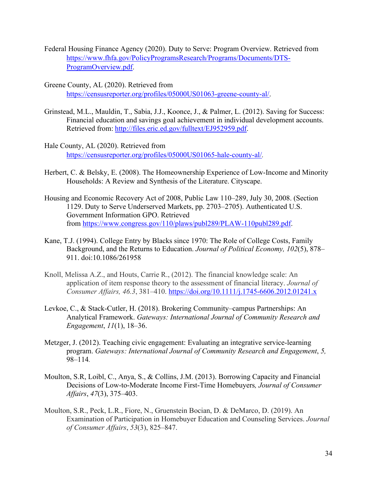- Federal Housing Finance Agency (2020). Duty to Serve: Program Overview. Retrieved from [https://www.fhfa.gov/PolicyProgramsResearch/Programs/Documents/DTS-](https://www.fhfa.gov/PolicyProgramsResearch/Programs/Documents/DTS-ProgramOverview.pdf)[ProgramOverview.pdf.](https://www.fhfa.gov/PolicyProgramsResearch/Programs/Documents/DTS-ProgramOverview.pdf)
- Greene County, AL (2020). Retrieved from [https://censusreporter.org/profiles/05000US01063-greene-county-al/.](https://censusreporter.org/profiles/05000US01063-greene-county-al/)
- Grinstead, M.L., Mauldin, T., Sabia, J.J., Koonce, J., & Palmer, L. (2012). Saving for Success: Financial education and savings goal achievement in individual development accounts. Retrieved from: [http://files.eric.ed.gov/fulltext/EJ952959.pdf.](http://files.eric.ed.gov/fulltext/EJ952959.pdf)
- Hale County, AL (2020). Retrieved from <https://censusreporter.org/profiles/05000US01065-hale-county-al/>*.*
- Herbert, C. & Belsky, E. (2008). The Homeownership Experience of Low-Income and Minority Households: A Review and Synthesis of the Literature. Cityscape.
- Housing and Economic Recovery Act of 2008, Public Law 110–289, July 30, 2008. (Section 1129. Duty to Serve Underserved Markets, pp. 2703–2705). Authenticated U.S. Government Information GPO. Retrieved from [https://www.congress.gov/110/plaws/publ289/PLAW-110publ289.pdf.](https://nam11.safelinks.protection.outlook.com/?url=https%3A%2F%2Fwww.congress.gov%2F110%2Fplaws%2Fpubl289%2FPLAW-110publ289.pdf&data=04%7C01%7Cnbprewitt%40ua.edu%7C5952941d9f6c48f0e89608d89e0e67c2%7C2a00728ef0d040b4a4e8ce433f3fbca7%7C0%7C0%7C637433131998613357%7CUnknown%7CTWFpbGZsb3d8eyJWIjoiMC4wLjAwMDAiLCJQIjoiV2luMzIiLCJBTiI6Ik1haWwiLCJXVCI6Mn0%3D%7C1000&sdata=IXObm3wpUVPLw0LXZysJrV3kMCAlSSq19ZupvbrXOUQ%3D&reserved=0)
- Kane, T.J. (1994). College Entry by Blacks since 1970: The Role of College Costs, Family Background, and the Returns to Education. *Journal of Political Economy, 102*(5), 878– 911. doi:10.1086/261958
- Knoll, Melissa A.Z., and Houts, Carrie R., (2012). The financial knowledge scale: An application of item response theory to the assessment of financial literacy. *Journal of Consumer Affairs, 46.3*, 381–410. <https://doi.org/10.1111/j.1745-6606.2012.01241.x>
- Levkoe, C., & Stack-Cutler, H. (2018). Brokering Community–campus Partnerships: An Analytical Framework. *Gateways: International Journal of Community Research and Engagement*, *11*(1), 18–36.
- Metzger, J. (2012). Teaching civic engagement: Evaluating an integrative service-learning program. *Gateways: International Journal of Community Research and Engagement*, *5,*  98–114*.*
- Moulton, S.R, Loibl, C., Anya, S., & Collins, J.M. (2013). Borrowing Capacity and Financial Decisions of Low-to-Moderate Income First-Time Homebuyers*, Journal of Consumer Affairs*, *47*(3), 375–403.
- Moulton, S.R., Peck, L.R., Fiore, N., Gruenstein Bocian, D. & DeMarco, D. (2019). An Examination of Participation in Homebuyer Education and Counseling Services. *Journal of Consumer Affairs*, *53*(3), 825–847.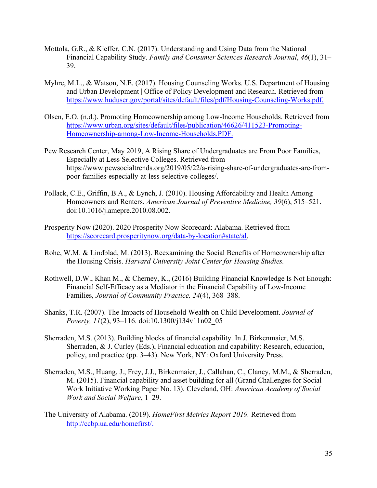- Mottola, G.R., & Kieffer, C.N. (2017). Understanding and Using Data from the National Financial Capability Study. *Family and Consumer Sciences Research Journal*, *46*(1), 31– 39.
- Myhre, M.L., & Watson, N.E. (2017). Housing Counseling Works. U.S. Department of Housing and Urban Development | Office of Policy Development and Research. Retrieved from https://www.huduser.gov/portal/sites/default/files/pdf/Housing-Counseling-Works.pdf.
- Olsen, E.O. (n.d.). Promoting Homeownership among Low-Income Households. Retrieved from [https://www.urban.org/sites/default/files/publication/46626/411523-Promoting-](https://www.urban.org/sites/default/files/publication/46626/411523-Promoting-Homeownership-among-Low-Income-Households.PDF)[Homeownership-among-Low-Income-Households.PDF.](https://www.urban.org/sites/default/files/publication/46626/411523-Promoting-Homeownership-among-Low-Income-Households.PDF)
- Pew Research Center, May 2019, A Rising Share of Undergraduates are From Poor Families, Especially at Less Selective Colleges. Retrieved from https://www.pewsocialtrends.org/2019/05/22/a-rising-share-of-undergraduates-are-frompoor-families-especially-at-less-selective-colleges/.
- Pollack, C.E., Griffin, B.A., & Lynch, J. (2010). Housing Affordability and Health Among Homeowners and Renters. *American Journal of Preventive Medicine, 39*(6), 515–521. doi:10.1016/j.amepre.2010.08.002.
- Prosperity Now (2020). 2020 Prosperity Now Scorecard: Alabama. Retrieved from [https://scorecard.prosperitynow.org/data-by-location#state/al.](https://scorecard.prosperitynow.org/data-by-location#state/al)
- Rohe, W.M. & Lindblad, M. (2013). Reexamining the Social Benefits of Homeownership after the Housing Crisis. *Harvard University Joint Center for Housing Studies.*
- Rothwell, D.W., Khan M., & Cherney, K., (2016) Building Financial Knowledge Is Not Enough: Financial Self-Efficacy as a Mediator in the Financial Capability of Low-Income Families, *Journal of Community Practice, 24*(4), 368–388.
- Shanks, T.R. (2007). The Impacts of Household Wealth on Child Development. *Journal of Poverty, 11*(2), 93–116. doi:10.1300/j134v11n02\_05
- Sherraden, M.S. (2013). Building blocks of financial capability. In J. Birkenmaier, M.S. Sherraden, & J. Curley (Eds.), Financial education and capability: Research, education, policy, and practice (pp. 3–43). New York, NY: Oxford University Press.
- Sherraden, M.S., Huang, J., Frey, J.J., Birkenmaier, J., Callahan, C., Clancy, M.M., & Sherraden, M. (2015). Financial capability and asset building for all (Grand Challenges for Social Work Initiative Working Paper No. 13). Cleveland, OH: *American Academy of Social Work and Social Welfare*, 1–29.
- The University of Alabama. (2019). *HomeFirst Metrics Report 2019.* Retrieved from [http://ccbp.ua.edu/homefirst/.](http://ccbp.ua.edu/homefirst/)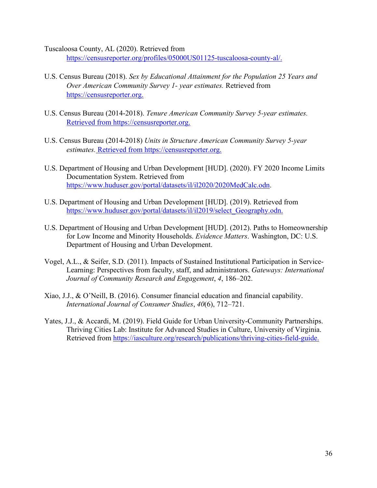Tuscaloosa County, AL (2020). Retrieved from [https://censusreporter.org/profiles/05000US01125-tuscaloosa-county-al/.](https://censusreporter.org/profiles/05000US01125-tuscaloosa-county-al/)

- U.S. Census Bureau (2018). *Sex by Educational Attainment for the Population 25 Years and Over American Community Survey 1- year estimates.* Retrieved from [https://censusreporter.org.](https://censusreporter.org/)
- U.S. Census Bureau (2014-2018). *Tenure American Community Survey 5-year estimates.* Retrieved from [https://censusreporter.org.](https://censusreporter.org/)
- U.S. Census Bureau (2014-2018) *Units in Structure American Community Survey 5-year estimates.* Retrieved from https://censusreporter.org.
- U.S. Department of Housing and Urban Development [HUD]. (2020). FY 2020 Income Limits Documentation System. Retrieved from [https://www.huduser.gov/portal/datasets/il/il2020/2020MedCalc.odn.](https://www.huduser.gov/portal/datasets/il/il2020/2020MedCalc.odn)
- U.S. Department of Housing and Urban Development [HUD]. (2019). Retrieved from [https://www.huduser.gov/portal/datasets/il/il2019/select\\_Geography.odn.](https://www.huduser.gov/portal/datasets/il/il2019/select_Geography.odn)
- U.S. Department of Housing and Urban Development [HUD]. (2012). Paths to Homeownership for Low Income and Minority Households. *Evidence Matters*. Washington, DC: U.S. Department of Housing and Urban Development.
- Vogel, A.L., & Seifer, S.D. (2011). Impacts of Sustained Institutional Participation in Service-Learning: Perspectives from faculty, staff, and administrators. *Gateways: International Journal of Community Research and Engagement*, *4*, 186–202.
- Xiao, J.J., & O'Neill, B. (2016). Consumer financial education and financial capability. *International Journal of Consumer Studies*, *40*(6), 712–721.
- Yates, J.J., & Accardi, M. (2019). Field Guide for Urban University-Community Partnerships. Thriving Cities Lab: Institute for Advanced Studies in Culture, University of Virginia. Retrieved from [https://iasculture.org/research/publications/thriving-cities-field-guide.](https://iasculture.org/research/publications/thriving-cities-field-guide)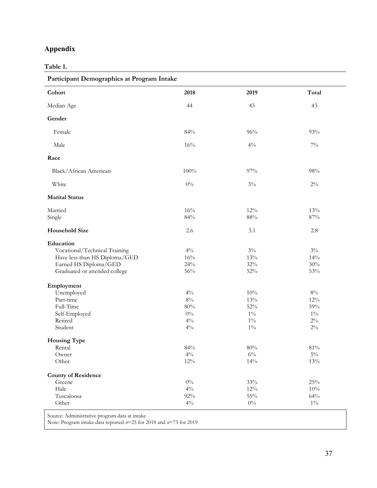# **Appendix**

# **Table 1.**

| Participant Demographics at Program Intake |                  |               |            |
|--------------------------------------------|------------------|---------------|------------|
| Cohort                                     | 2018             | 2019          | Total      |
| Median Age                                 | 44               | 43            | 43         |
| Gender                                     |                  |               |            |
| Female                                     | 84%              | $96\%$        | 93%        |
| Male                                       | $16\%$           | $4\%$         | $7\%$      |
| Race                                       |                  |               |            |
| Black/African American                     | 100%             | $97\%$        | 98%        |
| White                                      | $0\%$            | $3\%$         | $2\%$      |
| <b>Marital Status</b>                      |                  |               |            |
| Married                                    | $16\%$<br>$84\%$ | 12%<br>$88\%$ | 13%<br>87% |
| Single                                     |                  |               |            |
| <b>Household Size</b>                      | 2.6              | 3.1           | 2.8        |
| Education                                  |                  |               |            |
| Vocational/Technical Training              | $4\%$            | $3\%$         | $3\%$      |
| Have less than HS Diploma/GED              | $16\%$           | 13%           | 14%        |
| Earned HS Diploma/GED                      | 24%              | $32\%$        | 30%        |
| Graduated or attended college              | $56\%$           | $52\%$        | 53%        |
| Employment                                 |                  |               |            |
| Unemployed                                 | $4\%$            | $10\%$        | $8\%$      |
| Part-time                                  | $8\%$            | 13%           | 12%        |
| Full-Time                                  | $80\%$           | $52\%$        | 59%        |
| Self-Employed                              | $0\%$            | $1\%$         | $1\%$      |
| Retired                                    | $4\%$            | $1\%$         | $2\%$      |
| Student                                    | $4\%$            | $1\%$         | $2\%$      |
| <b>Housing Type</b>                        |                  |               |            |
| Rental                                     | 84%              | $80\%$        | 81%        |
| Owner                                      | $4\%$            | $6\%$         | $5\%$      |
| Other                                      | $12\%$           | 14%           | 13%        |
| <b>County of Residence</b>                 |                  |               |            |
| Greene                                     | $0\%$            | $33\%$        | $25\%$     |
| Hale                                       | $4\%$            | $12\%$        | 10%        |
| Tuscaloosa                                 | $92\%$           | $55\%$        | 64%        |
| Other                                      | $4\%$            | $0\%$         | $1\%$      |

Source: Administrative program data at intake

Note: Program intake data reported *n*=25 for 2018 and *n*=73 for 2019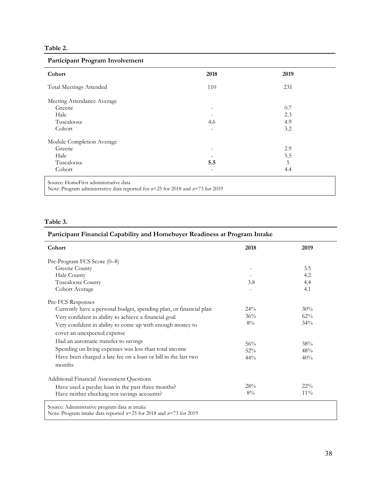# **Table 2.**

## **Participant Program Involvement**

| Cohort                                                                                                                      | 2018                     | 2019 |
|-----------------------------------------------------------------------------------------------------------------------------|--------------------------|------|
| <b>Total Meetings Attended</b>                                                                                              | 110                      | 231  |
| Meeting Attendance Average                                                                                                  |                          |      |
| Greene                                                                                                                      | $\overline{\phantom{a}}$ | 0.7  |
| Hale                                                                                                                        |                          | 2.3  |
| Tuscaloosa                                                                                                                  | 4.6                      | 4.9  |
| Cohort                                                                                                                      |                          | 3.2  |
| Module Completion Average                                                                                                   |                          |      |
| Greene                                                                                                                      | $\overline{\phantom{a}}$ | 2.9  |
| Hale                                                                                                                        |                          | 5.5  |
| Tuscaloosa                                                                                                                  | 5.5                      | 5    |
| Cohort                                                                                                                      | $\overline{\phantom{a}}$ | 4.4  |
| Source: HomeFirst administrative data<br>Note: Program administrative data reported for $n=25$ for 2018 and $n=73$ for 2019 |                          |      |

## **Table 3.**

# **Participant Financial Capability and Homebuyer Readiness at Program Intake**

| Cohort                                                                                                                  | 2018   | 2019   |
|-------------------------------------------------------------------------------------------------------------------------|--------|--------|
| Pre-Program FCS Score (0-8)                                                                                             |        |        |
| Greene County                                                                                                           |        | 3.5    |
| Hale County                                                                                                             |        | 4.2    |
| Tuscaloosa County                                                                                                       | 3.8    | 4.4    |
| Cohort Average                                                                                                          |        | 4.1    |
| Pre-FCS Responses                                                                                                       |        |        |
| Currently have a personal budget, spending plan, or financial plan                                                      | $24\%$ | 30%    |
| Very confident in ability to achieve a financial goal                                                                   | 36%    | $62\%$ |
| Very confident in ability to come up with enough money to                                                               | $8\%$  | 34%    |
| cover an unexpected expense                                                                                             |        |        |
| Had an automatic transfer to savings                                                                                    | 56%    | 38%    |
| Spending on living expenses was less than total income                                                                  | 52%    | 48%    |
| Have been charged a late fee on a loan or bill in the last two                                                          | $44\%$ | 40%    |
| months                                                                                                                  |        |        |
| Additional Financial Assessment Questions                                                                               |        |        |
| Have used a payday loan in the past three months?                                                                       | 28%    | $22\%$ |
| Have neither checking nor savings accounts?                                                                             | $8\%$  | $11\%$ |
| Source: Administrative program data at intake<br>Note: Program intake data reported $n=25$ for 2018 and $n=73$ for 2019 |        |        |